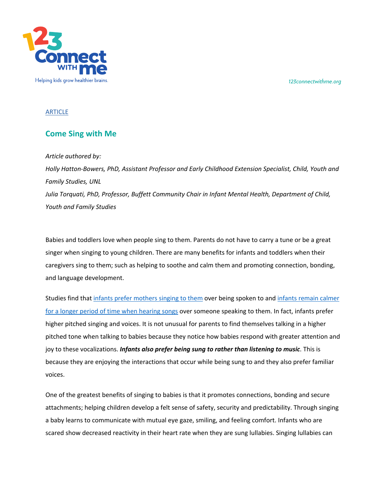*123connectwithme.org*



#### ARTICLE

# **Come Sing with Me**

### *Article authored by:*

*Holly Hatton-Bowers, PhD, Assistant Professor and Early Childhood Extension Specialist, Child, Youth and Family Studies, UNL Julia Torquati, PhD, Professor, Buffett Community Chair in Infant Mental Health, Department of Child, Youth and Family Studies*

Babies and toddlers love when people sing to them. Parents do not have to carry a tune or be a great singer when singing to young children. There are many benefits for infants and toddlers when their caregivers sing to them; such as helping to soothe and calm them and promoting connection, bonding, and language development.

Studies find that infants prefer mothers singing to them over being spoken to and infants remain calmer for a longer period of time when hearing songs over someone speaking to them. In fact, infants prefer higher pitched singing and voices. It is not unusual for parents to find themselves talking in a higher pitched tone when talking to babies because they notice how babies respond with greater attention and joy to these vocalizations. *Infants also prefer being sung to rather than listening to music*. This is because they are enjoying the interactions that occur while being sung to and they also prefer familiar voices.

One of the greatest benefits of singing to babies is that it promotes connections, bonding and secure attachments; helping children develop a felt sense of safety, security and predictability. Through singing a baby learns to communicate with mutual eye gaze, smiling, and feeling comfort. Infants who are scared show decreased reactivity in their heart rate when they are sung lullabies. Singing lullabies can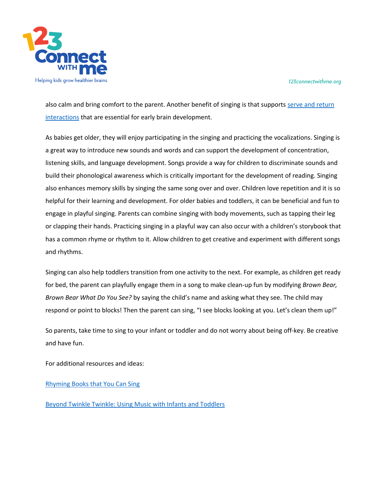

*123connectwithme.org*

also calm and bring comfort to the parent. Another benefit of singing is that supports serve and return interactions that are essential for early brain development.

As babies get older, they will enjoy participating in the singing and practicing the vocalizations. Singing is a great way to introduce new sounds and words and can support the development of concentration, listening skills, and language development. Songs provide a way for children to discriminate sounds and build their phonological awareness which is critically important for the development of reading. Singing also enhances memory skills by singing the same song over and over. Children love repetition and it is so helpful for their learning and development. For older babies and toddlers, it can be beneficial and fun to engage in playful singing. Parents can combine singing with body movements, such as tapping their leg or clapping their hands. Practicing singing in a playful way can also occur with a children's storybook that has a common rhyme or rhythm to it. Allow children to get creative and experiment with different songs and rhythms.

Singing can also help toddlers transition from one activity to the next. For example, as children get ready for bed, the parent can playfully engage them in a song to make clean-up fun by modifying *Brown Bear, Brown Bear What Do You See?* by saying the child's name and asking what they see. The child may respond or point to blocks! Then the parent can sing, "I see blocks looking at you. Let's clean them up!"

So parents, take time to sing to your infant or toddler and do not worry about being off-key. Be creative and have fun.

For additional resources and ideas:

Rhyming Books that You Can Sing

Beyond Twinkle Twinkle: Using Music with Infants and Toddlers